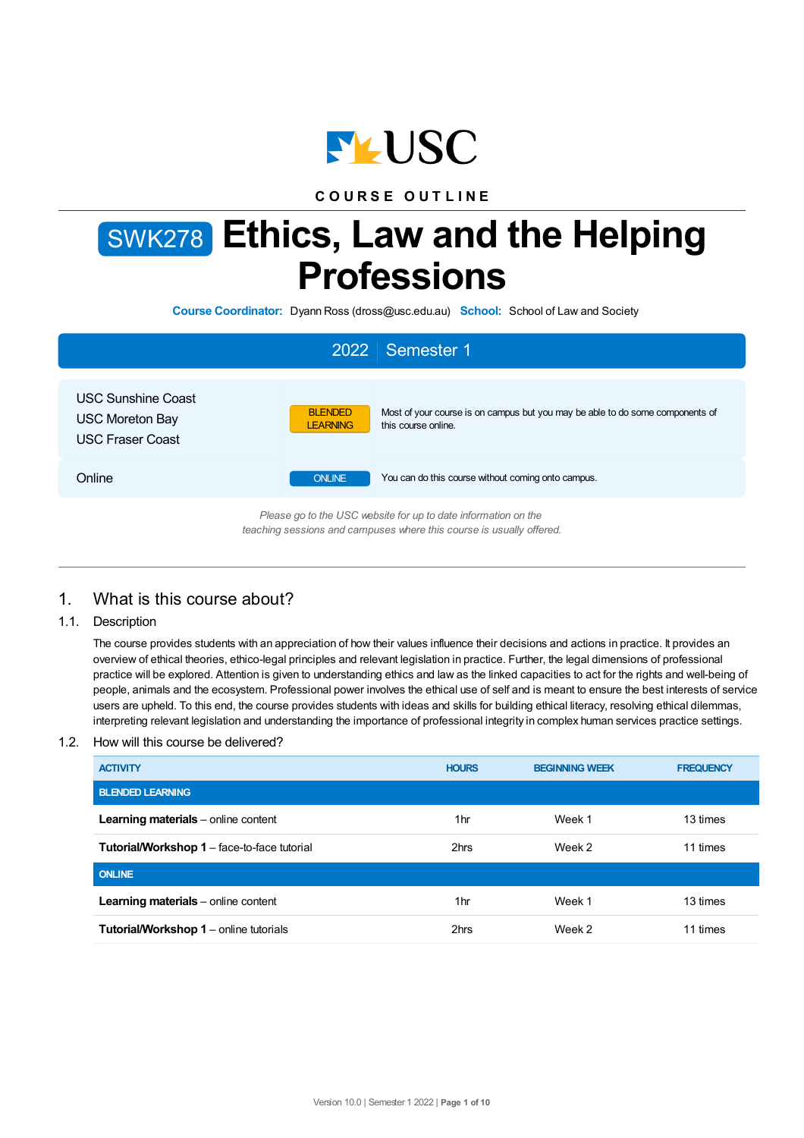

**C O U R S E O U T L I N E**

# SWK278 **Ethics, Law and the Helping Professions**

**Course Coordinator:** Dyann Ross (dross@usc.edu.au) **School:** School of Law and Society

|                                                                                                                                        | 2022 Semester 1                                                                                                                    |  |  |  |
|----------------------------------------------------------------------------------------------------------------------------------------|------------------------------------------------------------------------------------------------------------------------------------|--|--|--|
| <b>USC Sunshine Coast</b><br><b>USC Moreton Bay</b><br><b>USC Fraser Coast</b>                                                         | <b>BLENDED</b><br>Most of your course is on campus but you may be able to do some components of<br>LEARNING<br>this course online. |  |  |  |
| Online                                                                                                                                 | You can do this course without coming onto campus.<br><b>ONLINE</b>                                                                |  |  |  |
| Please go to the USC website for up to date information on the<br>teaching sessions and campuses where this course is usually offered. |                                                                                                                                    |  |  |  |

# 1. What is this course about?

1.1. Description

The course provides students with an appreciation of how their values influence their decisions and actions in practice. It provides an overview of ethical theories, ethico-legal principles and relevant legislation in practice. Further, the legal dimensions of professional practice will be explored. Attention is given to understanding ethics and law as the linked capacities to act for the rights and well-being of people, animals and the ecosystem. Professional power involves the ethical use of self and is meant to ensure the best interests of service users are upheld. To this end, the course provides students with ideas and skills for building ethical literacy, resolving ethical dilemmas, interpreting relevant legislation and understanding the importance of professional integrity in complex human services practice settings.

### 1.2. How will this course be delivered?

| <b>ACTIVITY</b>                                    | <b>HOURS</b>    | <b>BEGINNING WEEK</b> | <b>FREQUENCY</b> |
|----------------------------------------------------|-----------------|-----------------------|------------------|
| <b>BLENDED LEARNING</b>                            |                 |                       |                  |
| Learning materials - online content                | 1hr             | Week 1                | 13 times         |
| <b>Tutorial/Workshop 1</b> – face-to-face tutorial | 2hrs            | Week 2                | 11 times         |
| <b>ONLINE</b>                                      |                 |                       |                  |
| Learning materials - online content                | 1 <sub>hr</sub> | Week 1                | 13 times         |
| <b>Tutorial/Workshop 1</b> – online tutorials      | 2hrs            | Week 2                | 11 times         |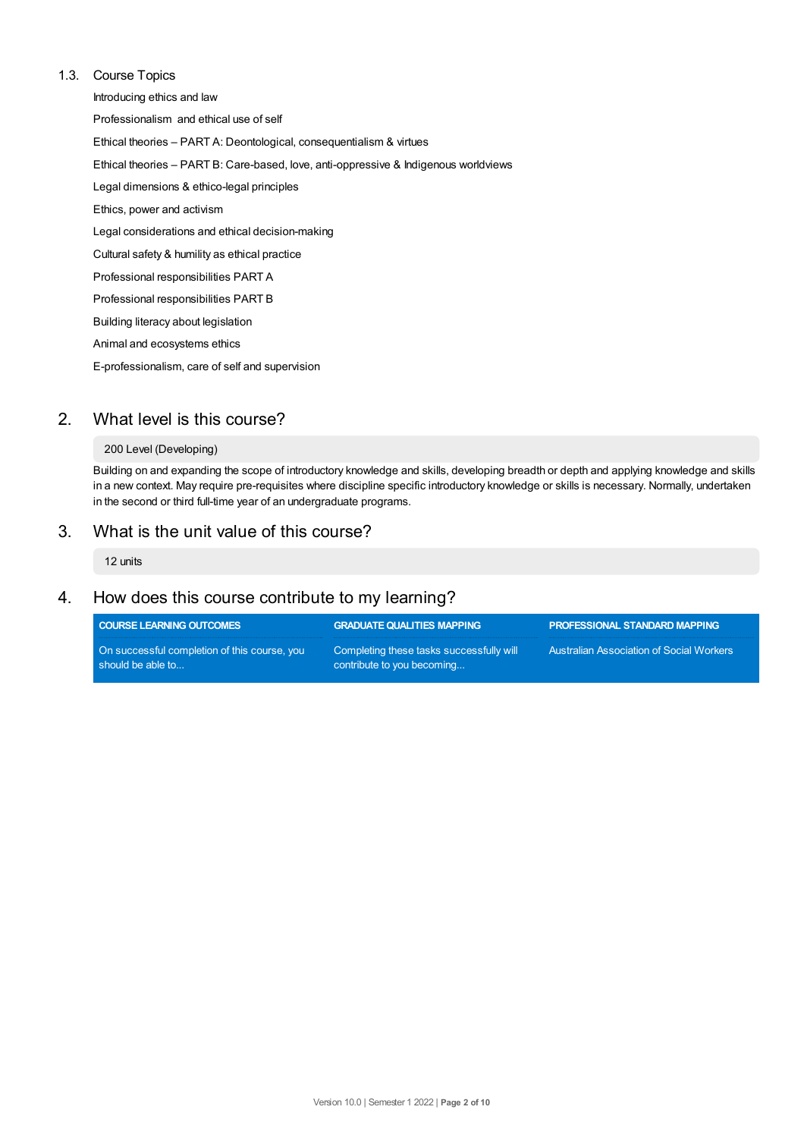### 1.3. Course Topics

Introducing ethics and law Professionalism and ethical use of self Ethical theories – PART A: Deontological, consequentialism & virtues Ethical theories – PART B: Care-based, love, anti-oppressive & Indigenous worldviews Legal dimensions & ethico-legal principles Ethics, power and activism Legal considerations and ethical decision-making Cultural safety & humility as ethical practice Professional responsibilities PART A Professional responsibilities PART B Building literacy about legislation Animal and ecosystems ethics E-professionalism, care of self and supervision

# 2. What level is this course?

### 200 Level (Developing)

Building on and expanding the scope of introductory knowledge and skills, developing breadth or depth and applying knowledge and skills in a new context. May require pre-requisites where discipline specific introductory knowledge or skills is necessary. Normally, undertaken in the second or third full-time year of an undergraduate programs.

# 3. What is the unit value of this course?

12 units

# 4. How does this course contribute to my learning?

| <b>COURSE LEARNING OUTCOMES</b>                                   | <b>GRADUATE QUALITIES MAPPING</b>                                      | <b>PROFESSIONAL STANDARD MAPPING</b>            |
|-------------------------------------------------------------------|------------------------------------------------------------------------|-------------------------------------------------|
| On successful completion of this course, you<br>should be able to | Completing these tasks successfully will<br>contribute to you becoming | <b>Australian Association of Social Workers</b> |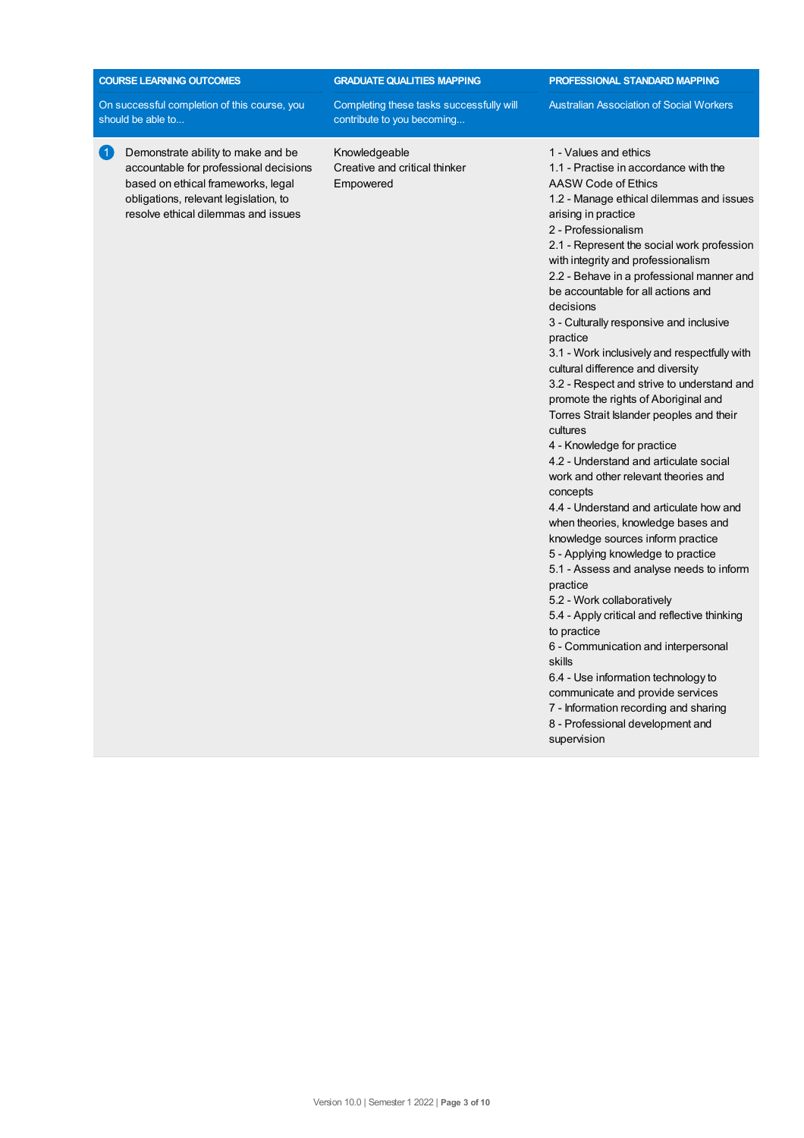| <b>COURSE LEARNING OUTCOMES</b>                                                                                                                                                                          | <b>GRADUATE QUALITIES MAPPING</b>                                      | PROFESSIONAL STANDARD MAPPING                                                                                                                                                                                                                                                                                                                                                                                                                                                                                                                                                                                                                                                                                                                                                                                                                                                                                                                                                                                                                                                                                                                                                                                                                                                                                                      |
|----------------------------------------------------------------------------------------------------------------------------------------------------------------------------------------------------------|------------------------------------------------------------------------|------------------------------------------------------------------------------------------------------------------------------------------------------------------------------------------------------------------------------------------------------------------------------------------------------------------------------------------------------------------------------------------------------------------------------------------------------------------------------------------------------------------------------------------------------------------------------------------------------------------------------------------------------------------------------------------------------------------------------------------------------------------------------------------------------------------------------------------------------------------------------------------------------------------------------------------------------------------------------------------------------------------------------------------------------------------------------------------------------------------------------------------------------------------------------------------------------------------------------------------------------------------------------------------------------------------------------------|
| On successful completion of this course, you<br>should be able to                                                                                                                                        | Completing these tasks successfully will<br>contribute to you becoming | <b>Australian Association of Social Workers</b>                                                                                                                                                                                                                                                                                                                                                                                                                                                                                                                                                                                                                                                                                                                                                                                                                                                                                                                                                                                                                                                                                                                                                                                                                                                                                    |
| 61<br>Demonstrate ability to make and be<br>accountable for professional decisions<br>based on ethical frameworks, legal<br>obligations, relevant legislation, to<br>resolve ethical dilemmas and issues | Knowledgeable<br>Creative and critical thinker<br>Empowered            | 1 - Values and ethics<br>1.1 - Practise in accordance with the<br>AASW Code of Ethics<br>1.2 - Manage ethical dilemmas and issues<br>arising in practice<br>2 - Professionalism<br>2.1 - Represent the social work profession<br>with integrity and professionalism<br>2.2 - Behave in a professional manner and<br>be accountable for all actions and<br>decisions<br>3 - Culturally responsive and inclusive<br>practice<br>3.1 - Work inclusively and respectfully with<br>cultural difference and diversity<br>3.2 - Respect and strive to understand and<br>promote the rights of Aboriginal and<br>Torres Strait Islander peoples and their<br>cultures<br>4 - Knowledge for practice<br>4.2 - Understand and articulate social<br>work and other relevant theories and<br>concepts<br>4.4 - Understand and articulate how and<br>when theories, knowledge bases and<br>knowledge sources inform practice<br>5 - Applying knowledge to practice<br>5.1 - Assess and analyse needs to inform<br>practice<br>5.2 - Work collaboratively<br>5.4 - Apply critical and reflective thinking<br>to practice<br>6 - Communication and interpersonal<br>skills<br>6.4 - Use information technology to<br>communicate and provide services<br>7 - Information recording and sharing<br>8 - Professional development and<br>supervision |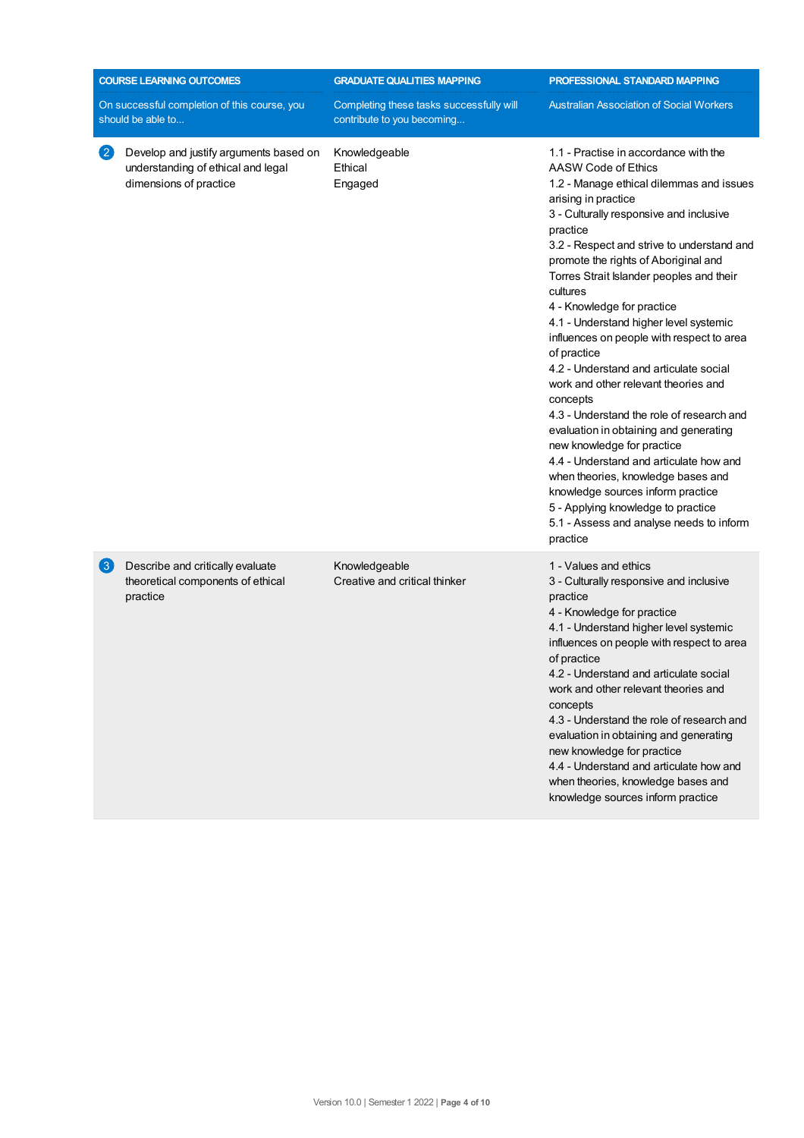|                   | <b>COURSE LEARNING OUTCOMES</b>                                                                        | <b>GRADUATE QUALITIES MAPPING</b>                                      | PROFESSIONAL STANDARD MAPPING                                                                                                                                                                                                                                                                                                                                                                                                                                                                                                                                                                                                                                                                                                                                                                                                                                                                                   |
|-------------------|--------------------------------------------------------------------------------------------------------|------------------------------------------------------------------------|-----------------------------------------------------------------------------------------------------------------------------------------------------------------------------------------------------------------------------------------------------------------------------------------------------------------------------------------------------------------------------------------------------------------------------------------------------------------------------------------------------------------------------------------------------------------------------------------------------------------------------------------------------------------------------------------------------------------------------------------------------------------------------------------------------------------------------------------------------------------------------------------------------------------|
|                   | On successful completion of this course, you<br>should be able to                                      | Completing these tasks successfully will<br>contribute to you becoming | <b>Australian Association of Social Workers</b>                                                                                                                                                                                                                                                                                                                                                                                                                                                                                                                                                                                                                                                                                                                                                                                                                                                                 |
| $\left( 2\right)$ | Develop and justify arguments based on<br>understanding of ethical and legal<br>dimensions of practice | Knowledgeable<br>Ethical<br>Engaged                                    | 1.1 - Practise in accordance with the<br>AASW Code of Ethics<br>1.2 - Manage ethical dilemmas and issues<br>arising in practice<br>3 - Culturally responsive and inclusive<br>practice<br>3.2 - Respect and strive to understand and<br>promote the rights of Aboriginal and<br>Torres Strait Islander peoples and their<br>cultures<br>4 - Knowledge for practice<br>4.1 - Understand higher level systemic<br>influences on people with respect to area<br>of practice<br>4.2 - Understand and articulate social<br>work and other relevant theories and<br>concepts<br>4.3 - Understand the role of research and<br>evaluation in obtaining and generating<br>new knowledge for practice<br>4.4 - Understand and articulate how and<br>when theories, knowledge bases and<br>knowledge sources inform practice<br>5 - Applying knowledge to practice<br>5.1 - Assess and analyse needs to inform<br>practice |
| $\left( 3\right)$ | Describe and critically evaluate<br>theoretical components of ethical<br>practice                      | Knowledgeable<br>Creative and critical thinker                         | 1 - Values and ethics<br>3 - Culturally responsive and inclusive<br>practice<br>4 - Knowledge for practice<br>4.1 - Understand higher level systemic<br>influences on people with respect to area<br>of practice<br>4.2 - Understand and articulate social<br>work and other relevant theories and<br>concepts<br>4.3 - Understand the role of research and<br>evaluation in obtaining and generating<br>new knowledge for practice<br>4.4 - Understand and articulate how and<br>when theories, knowledge bases and<br>knowledge sources inform practice                                                                                                                                                                                                                                                                                                                                                       |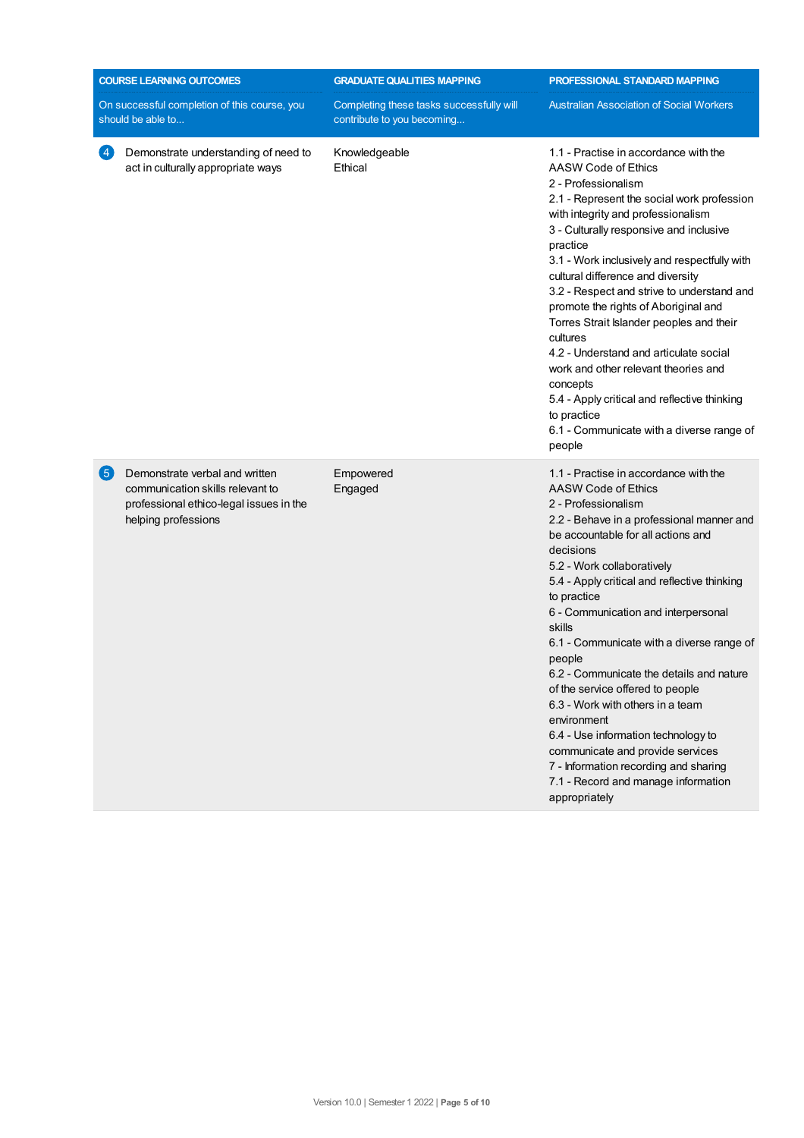| <b>COURSE LEARNING OUTCOMES</b> |                                                                                                                                      | <b>GRADUATE QUALITIES MAPPING</b>                                      | PROFESSIONAL STANDARD MAPPING                                                                                                                                                                                                                                                                                                                                                                                                                                                                                                                                                                                                                                                                           |
|---------------------------------|--------------------------------------------------------------------------------------------------------------------------------------|------------------------------------------------------------------------|---------------------------------------------------------------------------------------------------------------------------------------------------------------------------------------------------------------------------------------------------------------------------------------------------------------------------------------------------------------------------------------------------------------------------------------------------------------------------------------------------------------------------------------------------------------------------------------------------------------------------------------------------------------------------------------------------------|
|                                 | On successful completion of this course, you<br>should be able to                                                                    | Completing these tasks successfully will<br>contribute to you becoming | <b>Australian Association of Social Workers</b>                                                                                                                                                                                                                                                                                                                                                                                                                                                                                                                                                                                                                                                         |
| $\left 4\right\rangle$          | Demonstrate understanding of need to<br>act in culturally appropriate ways                                                           | Knowledgeable<br>Ethical                                               | 1.1 - Practise in accordance with the<br>AASW Code of Ethics<br>2 - Professionalism<br>2.1 - Represent the social work profession<br>with integrity and professionalism<br>3 - Culturally responsive and inclusive<br>practice<br>3.1 - Work inclusively and respectfully with<br>cultural difference and diversity<br>3.2 - Respect and strive to understand and<br>promote the rights of Aboriginal and<br>Torres Strait Islander peoples and their<br>cultures<br>4.2 - Understand and articulate social<br>work and other relevant theories and<br>concepts<br>5.4 - Apply critical and reflective thinking<br>to practice<br>6.1 - Communicate with a diverse range of<br>people                   |
| 6                               | Demonstrate verbal and written<br>communication skills relevant to<br>professional ethico-legal issues in the<br>helping professions | Empowered<br>Engaged                                                   | 1.1 - Practise in accordance with the<br>AASW Code of Ethics<br>2 - Professionalism<br>2.2 - Behave in a professional manner and<br>be accountable for all actions and<br>decisions<br>5.2 - Work collaboratively<br>5.4 - Apply critical and reflective thinking<br>to practice<br>6 - Communication and interpersonal<br>skills<br>6.1 - Communicate with a diverse range of<br>people<br>6.2 - Communicate the details and nature<br>of the service offered to people<br>6.3 - Work with others in a team<br>environment<br>6.4 - Use information technology to<br>communicate and provide services<br>7 - Information recording and sharing<br>7.1 - Record and manage information<br>appropriately |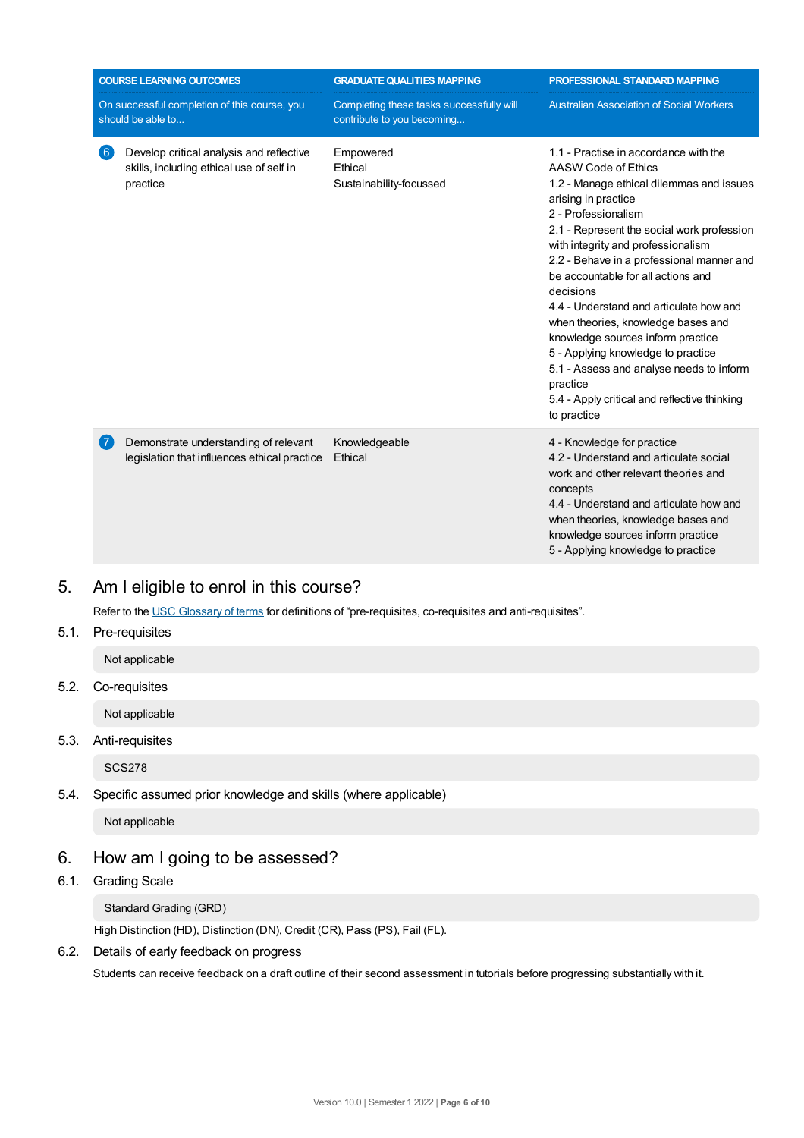| <b>COURSE LEARNING OUTCOMES</b><br>On successful completion of this course, you<br>should be able to |                                                                                                  | <b>GRADUATE QUALITIES MAPPING</b><br>Completing these tasks successfully will<br>contribute to you becoming | PROFESSIONAL STANDARD MAPPING<br><b>Australian Association of Social Workers</b>                                                                                                                                                                                                                                                                                                                                                                                                                                                                                                                                              |
|------------------------------------------------------------------------------------------------------|--------------------------------------------------------------------------------------------------|-------------------------------------------------------------------------------------------------------------|-------------------------------------------------------------------------------------------------------------------------------------------------------------------------------------------------------------------------------------------------------------------------------------------------------------------------------------------------------------------------------------------------------------------------------------------------------------------------------------------------------------------------------------------------------------------------------------------------------------------------------|
| (6)                                                                                                  | Develop critical analysis and reflective<br>skills, including ethical use of self in<br>practice | Empowered<br>Ethical<br>Sustainability-focussed                                                             | 1.1 - Practise in accordance with the<br>AASW Code of Ethics<br>1.2 - Manage ethical dilemmas and issues<br>arising in practice<br>2 - Professionalism<br>2.1 - Represent the social work profession<br>with integrity and professionalism<br>2.2 - Behave in a professional manner and<br>be accountable for all actions and<br>decisions<br>4.4 - Understand and articulate how and<br>when theories, knowledge bases and<br>knowledge sources inform practice<br>5 - Applying knowledge to practice<br>5.1 - Assess and analyse needs to inform<br>practice<br>5.4 - Apply critical and reflective thinking<br>to practice |
|                                                                                                      | Demonstrate understanding of relevant<br>legislation that influences ethical practice            | Knowledgeable<br>Ethical                                                                                    | 4 - Knowledge for practice<br>4.2 - Understand and articulate social<br>work and other relevant theories and<br>concepts<br>4.4 - Understand and articulate how and<br>when theories, knowledge bases and<br>knowledge sources inform practice<br>5 - Applying knowledge to practice                                                                                                                                                                                                                                                                                                                                          |

# 5. Am Ieligible to enrol in this course?

Refer to the USC [Glossary](https://www.usc.edu.au/about/policies-and-procedures/glossary-of-terms-for-policy-and-procedures) of terms for definitions of "pre-requisites, co-requisites and anti-requisites".

### 5.1. Pre-requisites

Not applicable

5.2. Co-requisites

Not applicable

5.3. Anti-requisites

SCS278

# 5.4. Specific assumed prior knowledge and skills (where applicable)

Not applicable

# 6. How am Igoing to be assessed?

6.1. Grading Scale

### Standard Grading (GRD)

High Distinction (HD), Distinction (DN), Credit (CR), Pass (PS), Fail (FL).

### 6.2. Details of early feedback on progress

Students can receive feedback on a draft outline of their second assessment in tutorials before progressing substantially with it.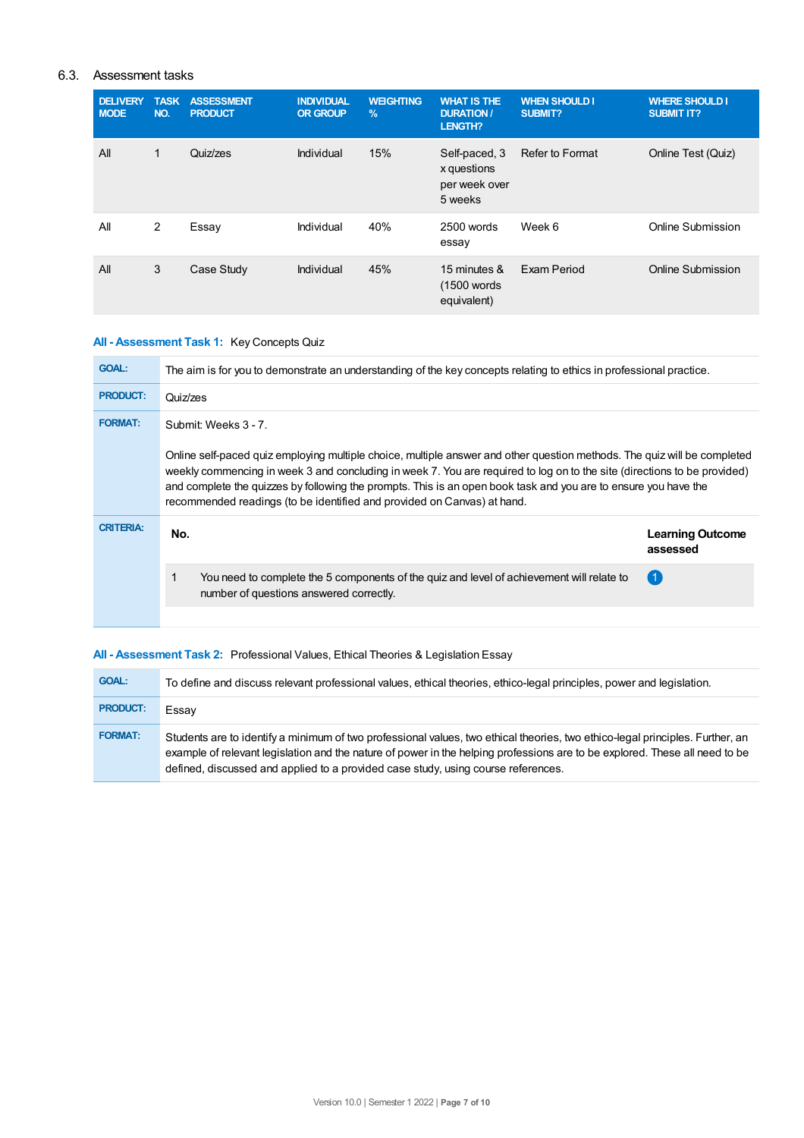### 6.3. Assessment tasks

| <b>DELIVERY</b><br><b>MODE</b> | <b>TASK</b><br>NO. | <b>ASSESSMENT</b><br><b>PRODUCT</b> | <b>INDIVIDUAL</b><br><b>OR GROUP</b> | <b>WEIGHTING</b><br>$\frac{9}{6}$ | <b>WHAT IS THE</b><br><b>DURATION /</b><br>LENGTH?       | <b>WHEN SHOULD I</b><br><b>SUBMIT?</b> | <b>WHERE SHOULD I</b><br><b>SUBMIT IT?</b> |
|--------------------------------|--------------------|-------------------------------------|--------------------------------------|-----------------------------------|----------------------------------------------------------|----------------------------------------|--------------------------------------------|
| All                            | 1                  | Quiz/zes                            | Individual                           | 15%                               | Self-paced, 3<br>x questions<br>per week over<br>5 weeks | Refer to Format                        | Online Test (Quiz)                         |
| All                            | 2                  | Essay                               | Individual                           | 40%                               | 2500 words<br>essay                                      | Week 6                                 | Online Submission                          |
| All                            | 3                  | Case Study                          | Individual                           | 45%                               | 15 minutes &<br>(1500 words)<br>equivalent)              | Exam Period                            | Online Submission                          |

### **All - Assessment Task 1:** Key Concepts Quiz

| <b>GOAL:</b>     | The aim is for you to demonstrate an understanding of the key concepts relating to ethics in professional practice.                                                                                                                                                                                                                                                                                                                                                        |                                     |  |
|------------------|----------------------------------------------------------------------------------------------------------------------------------------------------------------------------------------------------------------------------------------------------------------------------------------------------------------------------------------------------------------------------------------------------------------------------------------------------------------------------|-------------------------------------|--|
| <b>PRODUCT:</b>  | Quiz/zes                                                                                                                                                                                                                                                                                                                                                                                                                                                                   |                                     |  |
| <b>FORMAT:</b>   | Submit: Weeks 3 - 7.<br>Online self-paced quiz employing multiple choice, multiple answer and other question methods. The quiz will be completed<br>weekly commencing in week 3 and concluding in week 7. You are required to log on to the site (directions to be provided)<br>and complete the quizzes by following the prompts. This is an open book task and you are to ensure you have the<br>recommended readings (to be identified and provided on Canvas) at hand. |                                     |  |
| <b>CRITERIA:</b> | No.                                                                                                                                                                                                                                                                                                                                                                                                                                                                        | <b>Learning Outcome</b><br>assessed |  |
|                  | You need to complete the 5 components of the quiz and level of achievement will relate to                                                                                                                                                                                                                                                                                                                                                                                  | (1)                                 |  |
|                  | number of questions answered correctly.                                                                                                                                                                                                                                                                                                                                                                                                                                    |                                     |  |

### **All - Assessment Task 2:** Professional Values, Ethical Theories & Legislation Essay

| <b>GOAL:</b>    | To define and discuss relevant professional values, ethical theories, ethico-legal principles, power and legislation.                                                                                                                                                                                                                             |
|-----------------|---------------------------------------------------------------------------------------------------------------------------------------------------------------------------------------------------------------------------------------------------------------------------------------------------------------------------------------------------|
| <b>PRODUCT:</b> | Essay                                                                                                                                                                                                                                                                                                                                             |
| <b>FORMAT:</b>  | Students are to identify a minimum of two professional values, two ethical theories, two ethico-legal principles. Further, an<br>example of relevant legislation and the nature of power in the helping professions are to be explored. These all need to be<br>defined, discussed and applied to a provided case study, using course references. |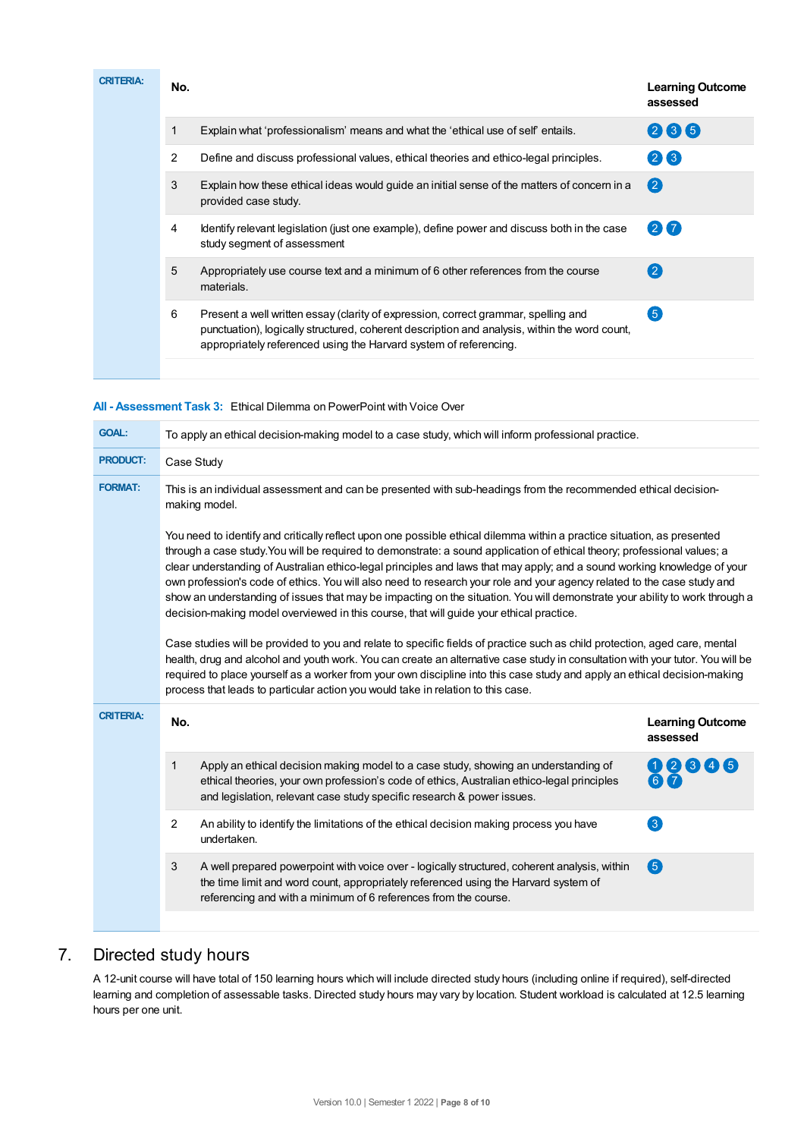| <b>CRITERIA:</b> | No.            |                                                                                                                                                                                                                                                          | <b>Learning Outcome</b><br>assessed |
|------------------|----------------|----------------------------------------------------------------------------------------------------------------------------------------------------------------------------------------------------------------------------------------------------------|-------------------------------------|
|                  |                | Explain what 'professionalism' means and what the 'ethical use of self' entails.                                                                                                                                                                         | 235                                 |
|                  | $\overline{2}$ | Define and discuss professional values, ethical theories and ethico-legal principles.                                                                                                                                                                    | 26                                  |
|                  | 3              | Explain how these ethical ideas would quide an initial sense of the matters of concern in a<br>provided case study.                                                                                                                                      | $\left( 2\right)$                   |
|                  | 4              | Identify relevant legislation (just one example), define power and discuss both in the case<br>study segment of assessment                                                                                                                               | 27                                  |
|                  | 5              | Appropriately use course text and a minimum of 6 other references from the course<br>materials.                                                                                                                                                          | (2)                                 |
|                  | 6              | Present a well written essay (clarity of expression, correct grammar, spelling and<br>punctuation), logically structured, coherent description and analysis, within the word count,<br>appropriately referenced using the Harvard system of referencing. | 6                                   |
|                  |                |                                                                                                                                                                                                                                                          |                                     |

### **All - Assessment Task 3:** Ethical Dilemma on PowerPoint with Voice Over

| <b>GOAL:</b>            | To apply an ethical decision-making model to a case study, which will inform professional practice.                                                                                                                                                                                                                                                                                                                                                                                                                                                                                                                                                                                                                                                                                                                                                                                                                                                                                                                                                                                                                                                                                                                   |                                                                                                                                                                                                                                                             |                                        |  |  |
|-------------------------|-----------------------------------------------------------------------------------------------------------------------------------------------------------------------------------------------------------------------------------------------------------------------------------------------------------------------------------------------------------------------------------------------------------------------------------------------------------------------------------------------------------------------------------------------------------------------------------------------------------------------------------------------------------------------------------------------------------------------------------------------------------------------------------------------------------------------------------------------------------------------------------------------------------------------------------------------------------------------------------------------------------------------------------------------------------------------------------------------------------------------------------------------------------------------------------------------------------------------|-------------------------------------------------------------------------------------------------------------------------------------------------------------------------------------------------------------------------------------------------------------|----------------------------------------|--|--|
| <b>PRODUCT:</b>         | Case Study                                                                                                                                                                                                                                                                                                                                                                                                                                                                                                                                                                                                                                                                                                                                                                                                                                                                                                                                                                                                                                                                                                                                                                                                            |                                                                                                                                                                                                                                                             |                                        |  |  |
| <b>FORMAT:</b>          | This is an individual assessment and can be presented with sub-headings from the recommended ethical decision-<br>making model.                                                                                                                                                                                                                                                                                                                                                                                                                                                                                                                                                                                                                                                                                                                                                                                                                                                                                                                                                                                                                                                                                       |                                                                                                                                                                                                                                                             |                                        |  |  |
|                         | You need to identify and critically reflect upon one possible ethical dilemma within a practice situation, as presented<br>through a case study. You will be required to demonstrate: a sound application of ethical theory; professional values; a<br>clear understanding of Australian ethico-legal principles and laws that may apply; and a sound working knowledge of your<br>own profession's code of ethics. You will also need to research your role and your agency related to the case study and<br>show an understanding of issues that may be impacting on the situation. You will demonstrate your ability to work through a<br>decision-making model overviewed in this course, that will guide your ethical practice.<br>Case studies will be provided to you and relate to specific fields of practice such as child protection, aged care, mental<br>health, drug and alcohol and youth work. You can create an alternative case study in consultation with your tutor. You will be<br>required to place yourself as a worker from your own discipline into this case study and apply an ethical decision-making<br>process that leads to particular action you would take in relation to this case. |                                                                                                                                                                                                                                                             |                                        |  |  |
| <b>CRITERIA:</b><br>No. |                                                                                                                                                                                                                                                                                                                                                                                                                                                                                                                                                                                                                                                                                                                                                                                                                                                                                                                                                                                                                                                                                                                                                                                                                       |                                                                                                                                                                                                                                                             | <b>Learning Outcome</b><br>assessed    |  |  |
|                         | 1                                                                                                                                                                                                                                                                                                                                                                                                                                                                                                                                                                                                                                                                                                                                                                                                                                                                                                                                                                                                                                                                                                                                                                                                                     | Apply an ethical decision making model to a case study, showing an understanding of<br>ethical theories, your own profession's code of ethics, Australian ethico-legal principles<br>and legislation, relevant case study specific research & power issues. | $\left( 2\right)$<br>$\lceil 3 \rceil$ |  |  |
|                         | $\overline{2}$                                                                                                                                                                                                                                                                                                                                                                                                                                                                                                                                                                                                                                                                                                                                                                                                                                                                                                                                                                                                                                                                                                                                                                                                        | An ability to identify the limitations of the ethical decision making process you have<br>undertaken.                                                                                                                                                       | 3                                      |  |  |
|                         | 3                                                                                                                                                                                                                                                                                                                                                                                                                                                                                                                                                                                                                                                                                                                                                                                                                                                                                                                                                                                                                                                                                                                                                                                                                     | A well prepared powerpoint with voice over - logically structured, coherent analysis, within<br>the time limit and word count, appropriately referenced using the Harvard system of<br>referencing and with a minimum of 6 references from the course.      | 6                                      |  |  |
|                         |                                                                                                                                                                                                                                                                                                                                                                                                                                                                                                                                                                                                                                                                                                                                                                                                                                                                                                                                                                                                                                                                                                                                                                                                                       |                                                                                                                                                                                                                                                             |                                        |  |  |

# 7. Directed study hours

A 12-unit course will have total of 150 learning hours which will include directed study hours (including online if required), self-directed learning and completion of assessable tasks. Directed study hours may vary by location. Student workload is calculated at 12.5 learning hours per one unit.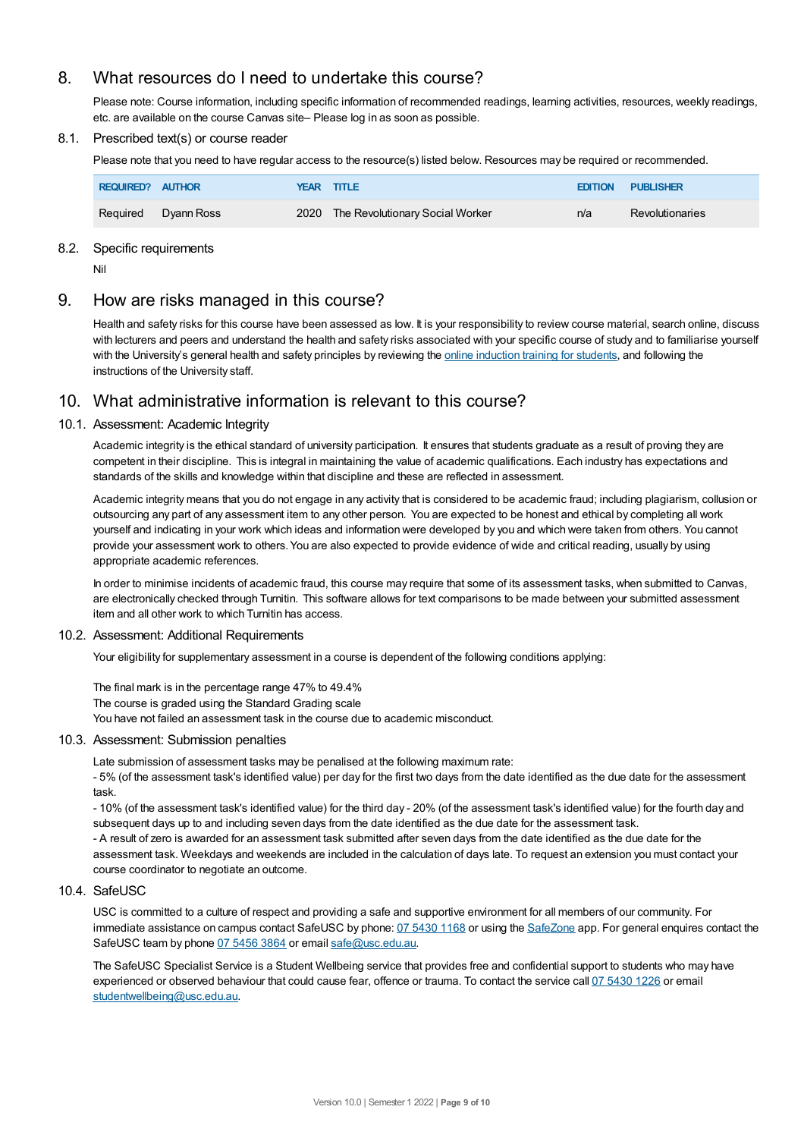# 8. What resources do I need to undertake this course?

Please note: Course information, including specific information of recommended readings, learning activities, resources, weekly readings, etc. are available on the course Canvas site– Please log in as soon as possible.

### 8.1. Prescribed text(s) or course reader

Please note that you need to have regular access to the resource(s) listed below. Resources may be required or recommended.

| REQUIRED? AUTHOR |            | YEAR TITLE                           | <b>EDITION</b> | <b>PUBLISHER</b>       |
|------------------|------------|--------------------------------------|----------------|------------------------|
| Required         | Dyann Ross | 2020 The Revolutionary Social Worker | n/a            | <b>Revolutionaries</b> |

### 8.2. Specific requirements

Nil

# 9. How are risks managed in this course?

Health and safety risks for this course have been assessed as low. It is your responsibility to review course material, search online, discuss with lecturers and peers and understand the health and safety risks associated with your specific course of study and to familiarise yourself with the University's general health and safety principles by reviewing the online [induction](https://online.usc.edu.au/webapps/blackboard/content/listContentEditable.jsp?content_id=_632657_1&course_id=_14432_1) training for students, and following the instructions of the University staff.

# 10. What administrative information is relevant to this course?

### 10.1. Assessment: Academic Integrity

Academic integrity is the ethical standard of university participation. It ensures that students graduate as a result of proving they are competent in their discipline. This is integral in maintaining the value of academic qualifications. Each industry has expectations and standards of the skills and knowledge within that discipline and these are reflected in assessment.

Academic integrity means that you do not engage in any activity that is considered to be academic fraud; including plagiarism, collusion or outsourcing any part of any assessment item to any other person. You are expected to be honest and ethical by completing all work yourself and indicating in your work which ideas and information were developed by you and which were taken from others. You cannot provide your assessment work to others.You are also expected to provide evidence of wide and critical reading, usually by using appropriate academic references.

In order to minimise incidents of academic fraud, this course may require that some of its assessment tasks, when submitted to Canvas, are electronically checked through Turnitin. This software allows for text comparisons to be made between your submitted assessment item and all other work to which Turnitin has access.

### 10.2. Assessment: Additional Requirements

Your eligibility for supplementary assessment in a course is dependent of the following conditions applying:

The final mark is in the percentage range 47% to 49.4%

The course is graded using the Standard Grading scale

You have not failed an assessment task in the course due to academic misconduct.

### 10.3. Assessment: Submission penalties

Late submission of assessment tasks may be penalised at the following maximum rate:

- 5% (of the assessment task's identified value) per day for the first two days from the date identified as the due date for the assessment task.

- 10% (of the assessment task's identified value) for the third day - 20% (of the assessment task's identified value) for the fourth day and subsequent days up to and including seven days from the date identified as the due date for the assessment task.

- A result of zero is awarded for an assessment task submitted after seven days from the date identified as the due date for the assessment task. Weekdays and weekends are included in the calculation of days late. To request an extension you must contact your course coordinator to negotiate an outcome.

### 10.4. SafeUSC

USC is committed to a culture of respect and providing a safe and supportive environment for all members of our community. For immediate assistance on campus contact SafeUSC by phone: 07 [5430](tel:07%205430%201168) 1168 or using the [SafeZone](https://www.safezoneapp.com) app. For general enquires contact the SafeUSC team by phone 07 [5456](tel:07%205456%203864) 3864 or email [safe@usc.edu.au](mailto:safe@usc.edu.au).

The SafeUSC Specialist Service is a Student Wellbeing service that provides free and confidential support to students who may have experienced or observed behaviour that could cause fear, offence or trauma. To contact the service call 07 [5430](tel:07%205430%201226) 1226 or email [studentwellbeing@usc.edu.au](mailto:studentwellbeing@usc.edu.au).